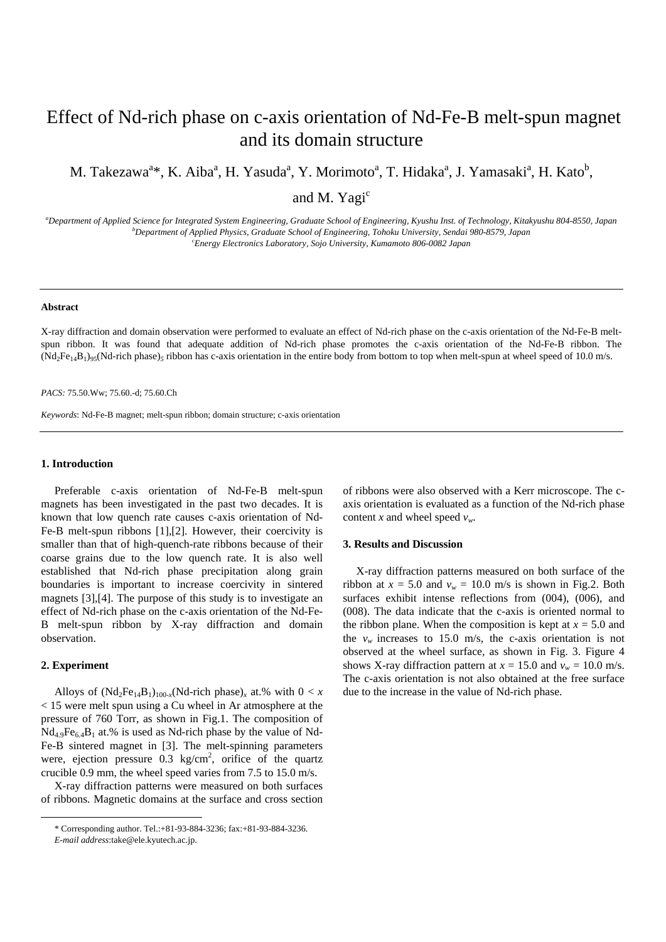# Effect of Nd-rich phase on c-axis orientation of Nd-Fe-B melt-spun magnet and its domain structure

M. Takezawa<sup>a\*</sup>, K. Aiba<sup>a</sup>, H. Yasuda<sup>a</sup>, Y. Morimoto<sup>a</sup>, T. Hidaka<sup>a</sup>, J. Yamasaki<sup>a</sup>, H. Kato<sup>b</sup>,

and M. Yagi<sup>c</sup>

*a Department of Applied Science for Integrated System Engineering, Graduate School of Engineering, Kyushu Inst. of Technology, Kitakyushu 804-8550, Japan b Department of Applied Physics, Graduate School of Engineering, Tohoku University, Sendai 980-8579, Japan c Energy Electronics Laboratory, Sojo University, Kumamoto 806-0082 Japan* 

#### **Abstract**

X-ray diffraction and domain observation were performed to evaluate an effect of Nd-rich phase on the c-axis orientation of the Nd-Fe-B meltspun ribbon. It was found that adequate addition of Nd-rich phase promotes the c-axis orientation of the Nd-Fe-B ribbon. The  $(Nd_2Fe_{14}B_1)_{95}(Nd$ -rich phase)<sub>5</sub> ribbon has c-axis orientation in the entire body from bottom to top when melt-spun at wheel speed of 10.0 m/s.

## *PACS:* 75.50.Ww; 75.60.-d; 75.60.Ch

*Keywords*: Nd-Fe-B magnet; melt-spun ribbon; domain structure; c-axis orientation

## **1. Introduction**

Preferable c-axis orientation of Nd-Fe-B melt-spun magnets has been investigated in the past two decades. It is known that low quench rate causes c-axis orientation of Nd-Fe-B melt-spun ribbons [1],[2]. However, their coercivity is smaller than that of high-quench-rate ribbons because of their coarse grains due to the low quench rate. It is also well established that Nd-rich phase precipitation along grain boundaries is important to increase coercivity in sintered magnets [3],[4]. The purpose of this study is to investigate an effect of Nd-rich phase on the c-axis orientation of the Nd-Fe-B melt-spun ribbon by X-ray diffraction and domain observation.

## **2. Experiment**

-

Alloys of  $(Nd_2Fe_{14}B_1)_{100-x} (Nd\text{-rich phase})_x$  at.% with  $0 < x$ < 15 were melt spun using a Cu wheel in Ar atmosphere at the pressure of 760 Torr, as shown in Fig.1. The composition of  $Nd_{4.9}Fe_{6.4}B_1$  at.% is used as Nd-rich phase by the value of Nd-Fe-B sintered magnet in [3]. The melt-spinning parameters were, ejection pressure  $0.3 \text{ kg/cm}^2$ , orifice of the quartz crucible 0.9 mm, the wheel speed varies from 7.5 to 15.0 m/s.

X-ray diffraction patterns were measured on both surfaces of ribbons. Magnetic domains at the surface and cross section of ribbons were also observed with a Kerr microscope. The caxis orientation is evaluated as a function of the Nd-rich phase content *x* and wheel speed  $v_w$ .

## **3. Results and Discussion**

X-ray diffraction patterns measured on both surface of the ribbon at  $x = 5.0$  and  $v_w = 10.0$  m/s is shown in Fig.2. Both surfaces exhibit intense reflections from  $(004)$ ,  $(006)$ , and (008). The data indicate that the c-axis is oriented normal to the ribbon plane. When the composition is kept at  $x = 5.0$  and the  $v_w$  increases to 15.0 m/s, the c-axis orientation is not observed at the wheel surface, as shown in Fig. 3. Figure 4 shows X-ray diffraction pattern at  $x = 15.0$  and  $v_w = 10.0$  m/s. The c-axis orientation is not also obtained at the free surface due to the increase in the value of Nd-rich phase.

<sup>\*</sup> Corresponding author. Tel.:+81-93-884-3236; fax:+81-93-884-3236. *E-mail address*:take@ele.kyutech.ac.jp.